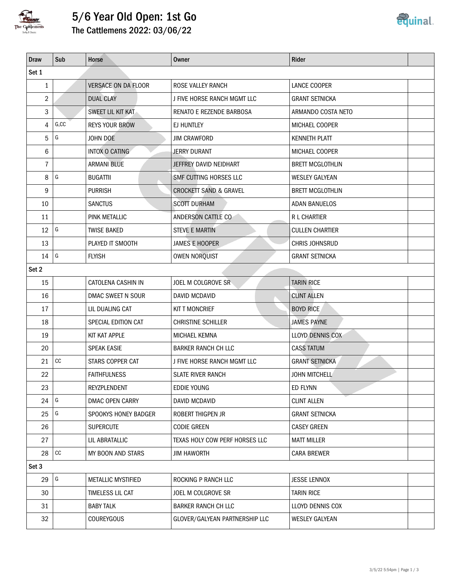

## 5/6 Year Old Open: 1st Go

The Cattlemens 2022: 03/06/22

| <b>Draw</b>    | Sub               | Horse                      | <b>Owner</b>                      | Rider                   |  |  |  |
|----------------|-------------------|----------------------------|-----------------------------------|-------------------------|--|--|--|
| Set 1          |                   |                            |                                   |                         |  |  |  |
| $\mathbf{1}$   |                   | <b>VERSACE ON DA FLOOR</b> | ROSE VALLEY RANCH                 | LANCE COOPER            |  |  |  |
| $\overline{2}$ |                   | <b>DUAL CLAY</b>           | J FIVE HORSE RANCH MGMT LLC       | <b>GRANT SETNICKA</b>   |  |  |  |
| 3              |                   | SWEET LIL KIT KAT          | <b>RENATO E REZENDE BARBOSA</b>   | ARMANDO COSTA NETO      |  |  |  |
| $\overline{4}$ | G, CC             | <b>REYS YOUR BROW</b>      | EJ HUNTLEY                        | MICHAEL COOPER          |  |  |  |
| 5              | G                 | JOHN DOE                   | <b>JIM CRAWFORD</b>               | <b>KENNETH PLATT</b>    |  |  |  |
| 6              |                   | INTOX O CATING             | JERRY DURANT                      | MICHAEL COOPER          |  |  |  |
| 7              |                   | <b>ARMANI BLUE</b>         | JEFFREY DAVID NEIDHART            | <b>BRETT MCGLOTHLIN</b> |  |  |  |
| 8              | G                 | <b>BUGATTII</b>            | SMF CUTTING HORSES LLC            | <b>WESLEY GALYEAN</b>   |  |  |  |
| 9              |                   | <b>PURRISH</b>             | <b>CROCKETT SAND &amp; GRAVEL</b> | <b>BRETT MCGLOTHLIN</b> |  |  |  |
| 10             |                   | <b>SANCTUS</b>             | <b>SCOTT DURHAM</b>               | <b>ADAN BANUELOS</b>    |  |  |  |
| 11             |                   | PINK METALLIC              | ANDERSON CATTLE CO                | R L CHARTIER            |  |  |  |
| 12             | G                 | <b>TWISE BAKED</b>         | <b>STEVE E MARTIN</b>             | <b>CULLEN CHARTIER</b>  |  |  |  |
| 13             |                   | PLAYED IT SMOOTH           | <b>JAMES E HOOPER</b>             | CHRIS JOHNSRUD          |  |  |  |
| 14             | G                 | <b>FLYISH</b>              | <b>OWEN NORQUIST</b>              | <b>GRANT SETNICKA</b>   |  |  |  |
| Set 2          |                   |                            |                                   |                         |  |  |  |
| 15             |                   | CATOLENA CASHIN IN         | JOEL M COLGROVE SR                | <b>TARIN RICE</b>       |  |  |  |
| 16             |                   | DMAC SWEET N SOUR          | DAVID MCDAVID                     | <b>CLINT ALLEN</b>      |  |  |  |
| 17             |                   | LIL DUALING CAT            | <b>KIT T MONCRIEF</b>             | <b>BOYD RICE</b>        |  |  |  |
| 18             |                   | SPECIAL EDITION CAT        | <b>CHRISTINE SCHILLER</b>         | <b>JAMES PAYNE</b>      |  |  |  |
| 19             |                   | KIT KAT APPLE              | MICHAEL KEMNA                     | LLOYD DENNIS COX        |  |  |  |
| 20             |                   | <b>SPEAK EASIE</b>         | <b>BARKER RANCH CH LLC</b>        | <b>CASS TATUM</b>       |  |  |  |
| 21             | $\mathop{\rm CC}$ | STARS COPPER CAT           | J FIVE HORSE RANCH MGMT LLC       | <b>GRANT SETNICKA</b>   |  |  |  |
| 22             |                   | <b>FAITHFULNESS</b>        | <b>SLATE RIVER RANCH</b>          | <b>JOHN MITCHELL</b>    |  |  |  |
| 23             |                   | REYZPLENDENT               | <b>EDDIE YOUNG</b>                | ED FLYNN                |  |  |  |
| 24             | G                 | DMAC OPEN CARRY            | <b>DAVID MCDAVID</b>              | <b>CLINT ALLEN</b>      |  |  |  |
| 25             | G                 | SPOOKYS HONEY BADGER       | ROBERT THIGPEN JR                 | <b>GRANT SETNICKA</b>   |  |  |  |
| 26             |                   | <b>SUPERCUTE</b>           | <b>CODIE GREEN</b>                | <b>CASEY GREEN</b>      |  |  |  |
| 27             |                   | LIL ABRATALLIC             | TEXAS HOLY COW PERF HORSES LLC    | <b>MATT MILLER</b>      |  |  |  |
| 28             | $\mathop{\rm CC}$ | MY BOON AND STARS          | <b>JIM HAWORTH</b>                | <b>CARA BREWER</b>      |  |  |  |
| Set 3          |                   |                            |                                   |                         |  |  |  |
| 29             | G                 | <b>METALLIC MYSTIFIED</b>  | ROCKING P RANCH LLC               | <b>JESSE LENNOX</b>     |  |  |  |
| 30             |                   | TIMELESS LIL CAT           | JOEL M COLGROVE SR                | <b>TARIN RICE</b>       |  |  |  |
| 31             |                   | <b>BABY TALK</b>           | <b>BARKER RANCH CH LLC</b>        | LLOYD DENNIS COX        |  |  |  |
| 32             |                   | <b>COUREYGOUS</b>          | GLOVER/GALYEAN PARTNERSHIP LLC    | <b>WESLEY GALYEAN</b>   |  |  |  |
|                |                   |                            |                                   |                         |  |  |  |

<u>equinal</u>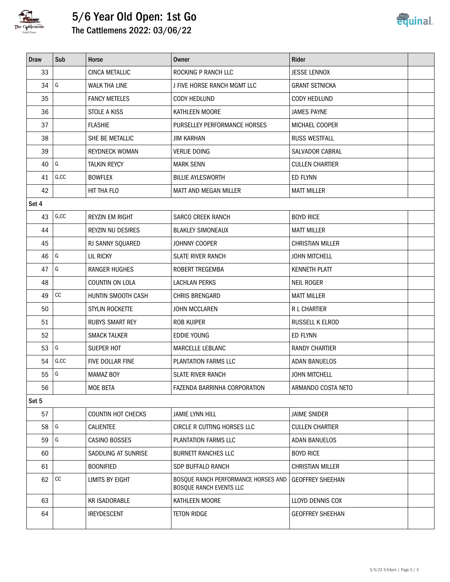

## 5/6 Year Old Open: 1st Go The Cattlemens 2022: 03/06/22



| <b>Draw</b> | Sub         | Horse                     | Owner                                                          | <b>Rider</b>            |
|-------------|-------------|---------------------------|----------------------------------------------------------------|-------------------------|
| 33          |             | CINCA METALLIC            | ROCKING P RANCH LLC                                            | <b>JESSE LENNOX</b>     |
| 34          | G           | <b>WALK THA LINE</b>      | J FIVE HORSE RANCH MGMT LLC                                    | <b>GRANT SETNICKA</b>   |
| 35          |             | <b>FANCY METELES</b>      | <b>CODY HEDLUND</b>                                            | <b>CODY HEDLUND</b>     |
| 36          |             | <b>STOLE A KISS</b>       | KATHLEEN MOORE                                                 | <b>JAMES PAYNE</b>      |
| 37          |             | <b>FLASHIE</b>            | PURSELLEY PERFORMANCE HORSES                                   | MICHAEL COOPER          |
| 38          |             | SHE BE METALLIC           | <b>JIM KARHAN</b>                                              | <b>RUSS WESTFALL</b>    |
| 39          |             | <b>REYDNECK WOMAN</b>     | <b>VERLIE DOING</b>                                            | SALVADOR CABRAL         |
| 40          | G           | <b>TALKIN REYCY</b>       | <b>MARK SENN</b>                                               | <b>CULLEN CHARTIER</b>  |
| 41          | G, CC       | <b>BOWFLEX</b>            | <b>BILLIE AYLESWORTH</b>                                       | ED FLYNN                |
| 42          |             | HIT THA FLO               | MATT AND MEGAN MILLER                                          | <b>MATT MILLER</b>      |
| Set 4       |             |                           |                                                                |                         |
| 43          | G, CC       | <b>REYZIN EM RIGHT</b>    | <b>SARCO CREEK RANCH</b>                                       | <b>BOYD RICE</b>        |
| 44          |             | <b>REYZIN NU DESIRES</b>  | <b>BLAKLEY SIMONEAUX</b>                                       | <b>MATT MILLER</b>      |
| 45          |             | RJ SANNY SQUARED          | JOHNNY COOPER                                                  | <b>CHRISTIAN MILLER</b> |
| 46          | $\sqrt{G}$  | LIL RICKY                 | <b>SLATE RIVER RANCH</b>                                       | <b>JOHN MITCHELL</b>    |
| 47          | G           | <b>RANGER HUGHES</b>      | ROBERT TREGEMBA                                                | <b>KENNETH PLATT</b>    |
| 48          |             | COUNTIN ON LOLA           | LACHLAN PERKS                                                  | <b>NEIL ROGER</b>       |
| 49          | cc          | HUNTIN SMOOTH CASH        | CHRIS BRENGARD                                                 | <b>MATT MILLER</b>      |
| 50          |             | STYLIN ROCKETTE           | JOHN MCCLAREN                                                  | R L CHARTIER            |
| 51          |             | <b>RUBYS SMART REY</b>    | <b>ROB KUIPER</b>                                              | RUSSELL K ELROD         |
| 52          |             | <b>SMACK TALKER</b>       | <b>EDDIE YOUNG</b>                                             | ED FLYNN                |
| 53          | G           | SUEPER HOT                | MARCELLE LEBLANC                                               | <b>RANDY CHARTIER</b>   |
| 54          | G, CC       | FIVE DOLLAR FINE          | PLANTATION FARMS LLC                                           | <b>ADAN BANUELOS</b>    |
| 55          | G           | <b>MAMAZ BOY</b>          | <b>SLATE RIVER RANCH</b>                                       | <b>JOHN MITCHELL</b>    |
| 56          |             | <b>MOE BETA</b>           | FAZENDA BARRINHA CORPORATION                                   | ARMANDO COSTA NETO      |
| Set 5       |             |                           |                                                                |                         |
| 57          |             | <b>COUNTIN HOT CHECKS</b> | <b>JAMIE LYNN HILL</b>                                         | <b>JAIME SNIDER</b>     |
| 58          | G           | <b>CALIENTEE</b>          | CIRCLE R CUTTING HORSES LLC                                    | <b>CULLEN CHARTIER</b>  |
| 59          | G           | CASINO BOSSES             | PLANTATION FARMS LLC                                           | <b>ADAN BANUELOS</b>    |
| 60          |             | SADDLING AT SUNRISE       | <b>BURNETT RANCHES LLC</b>                                     | <b>BOYD RICE</b>        |
| 61          |             | <b>BOONIFIED</b>          | SDP BUFFALO RANCH                                              | <b>CHRISTIAN MILLER</b> |
| 62          | $_{\rm CC}$ | LIMITS BY EIGHT           | BOSQUE RANCH PERFORMANCE HORSES AND<br>BOSQUE RANCH EVENTS LLC | <b>GEOFFREY SHEEHAN</b> |
| 63          |             | <b>KR ISADORABLE</b>      | KATHLEEN MOORE                                                 | LLOYD DENNIS COX        |
| 64          |             | <b>IREYDESCENT</b>        | <b>TETON RIDGE</b>                                             | <b>GEOFFREY SHEEHAN</b> |